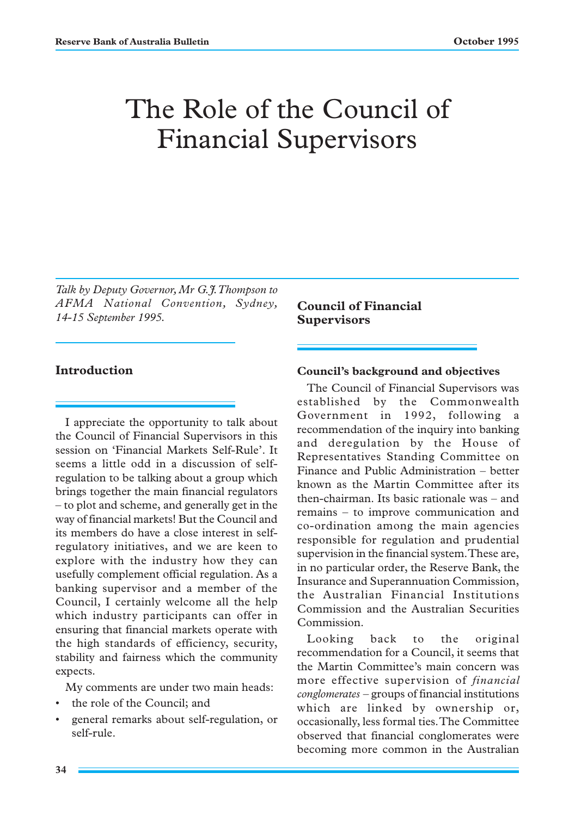# The Role of the Council of Financial Supervisors

*Talk by Deputy Governor, Mr G.J. Thompson to AFMA National Convention, Sydney, 14-15 September 1995.*

## **Introduction**

I appreciate the opportunity to talk about the Council of Financial Supervisors in this session on 'Financial Markets Self-Rule'. It seems a little odd in a discussion of selfregulation to be talking about a group which brings together the main financial regulators – to plot and scheme, and generally get in the way of financial markets! But the Council and its members do have a close interest in selfregulatory initiatives, and we are keen to explore with the industry how they can usefully complement official regulation. As a banking supervisor and a member of the Council, I certainly welcome all the help which industry participants can offer in ensuring that financial markets operate with the high standards of efficiency, security, stability and fairness which the community expects.

My comments are under two main heads:

- the role of the Council; and
- general remarks about self-regulation, or self-rule.

**Council of Financial Supervisors**

### **Council's background and objectives**

The Council of Financial Supervisors was established by the Commonwealth Government in 1992, following a recommendation of the inquiry into banking and deregulation by the House of Representatives Standing Committee on Finance and Public Administration – better known as the Martin Committee after its then-chairman. Its basic rationale was – and remains – to improve communication and co-ordination among the main agencies responsible for regulation and prudential supervision in the financial system. These are, in no particular order, the Reserve Bank, the Insurance and Superannuation Commission, the Australian Financial Institutions Commission and the Australian Securities Commission.

Looking back to the original recommendation for a Council, it seems that the Martin Committee's main concern was more effective supervision of *financial conglomerates* – groups of financial institutions which are linked by ownership or, occasionally, less formal ties. The Committee observed that financial conglomerates were becoming more common in the Australian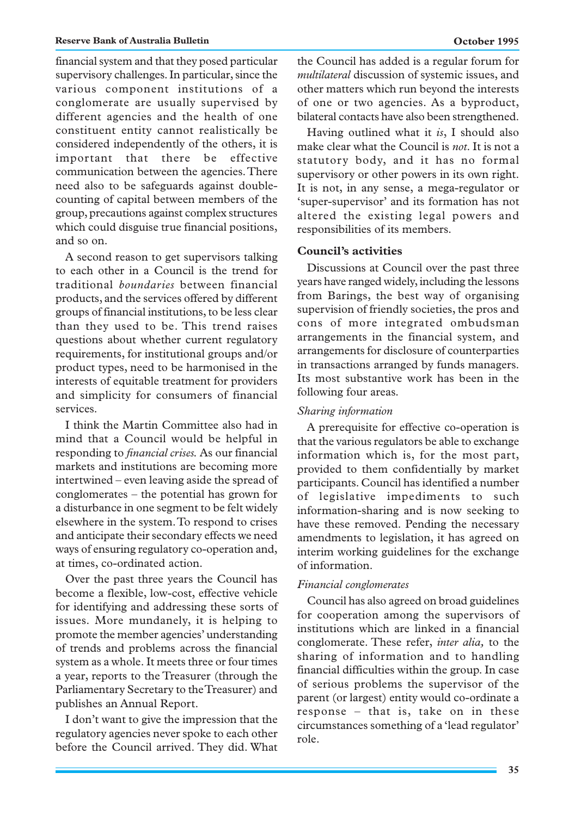financial system and that they posed particular supervisory challenges. In particular, since the various component institutions of a conglomerate are usually supervised by different agencies and the health of one constituent entity cannot realistically be considered independently of the others, it is important that there be effective communication between the agencies. There need also to be safeguards against doublecounting of capital between members of the group, precautions against complex structures which could disguise true financial positions, and so on.

A second reason to get supervisors talking to each other in a Council is the trend for traditional *boundaries* between financial products, and the services offered by different groups of financial institutions, to be less clear than they used to be. This trend raises questions about whether current regulatory requirements, for institutional groups and/or product types, need to be harmonised in the interests of equitable treatment for providers and simplicity for consumers of financial services.

I think the Martin Committee also had in mind that a Council would be helpful in responding to *financial crises.* As our financial markets and institutions are becoming more intertwined – even leaving aside the spread of conglomerates – the potential has grown for a disturbance in one segment to be felt widely elsewhere in the system. To respond to crises and anticipate their secondary effects we need ways of ensuring regulatory co-operation and, at times, co-ordinated action.

Over the past three years the Council has become a flexible, low-cost, effective vehicle for identifying and addressing these sorts of issues. More mundanely, it is helping to promote the member agencies' understanding of trends and problems across the financial system as a whole. It meets three or four times a year, reports to the Treasurer (through the Parliamentary Secretary to the Treasurer) and publishes an Annual Report.

I don't want to give the impression that the regulatory agencies never spoke to each other before the Council arrived. They did. What the Council has added is a regular forum for *multilateral* discussion of systemic issues, and other matters which run beyond the interests of one or two agencies. As a byproduct, bilateral contacts have also been strengthened.

Having outlined what it *is*, I should also make clear what the Council is *not*. It is not a statutory body, and it has no formal supervisory or other powers in its own right. It is not, in any sense, a mega-regulator or 'super-supervisor' and its formation has not altered the existing legal powers and responsibilities of its members.

## **Council's activities**

Discussions at Council over the past three years have ranged widely, including the lessons from Barings, the best way of organising supervision of friendly societies, the pros and cons of more integrated ombudsman arrangements in the financial system, and arrangements for disclosure of counterparties in transactions arranged by funds managers. Its most substantive work has been in the following four areas.

#### *Sharing information*

A prerequisite for effective co-operation is that the various regulators be able to exchange information which is, for the most part, provided to them confidentially by market participants. Council has identified a number of legislative impediments to such information-sharing and is now seeking to have these removed. Pending the necessary amendments to legislation, it has agreed on interim working guidelines for the exchange of information.

#### *Financial conglomerates*

Council has also agreed on broad guidelines for cooperation among the supervisors of institutions which are linked in a financial conglomerate. These refer, *inter alia,* to the sharing of information and to handling financial difficulties within the group. In case of serious problems the supervisor of the parent (or largest) entity would co-ordinate a response – that is, take on in these circumstances something of a 'lead regulator' role.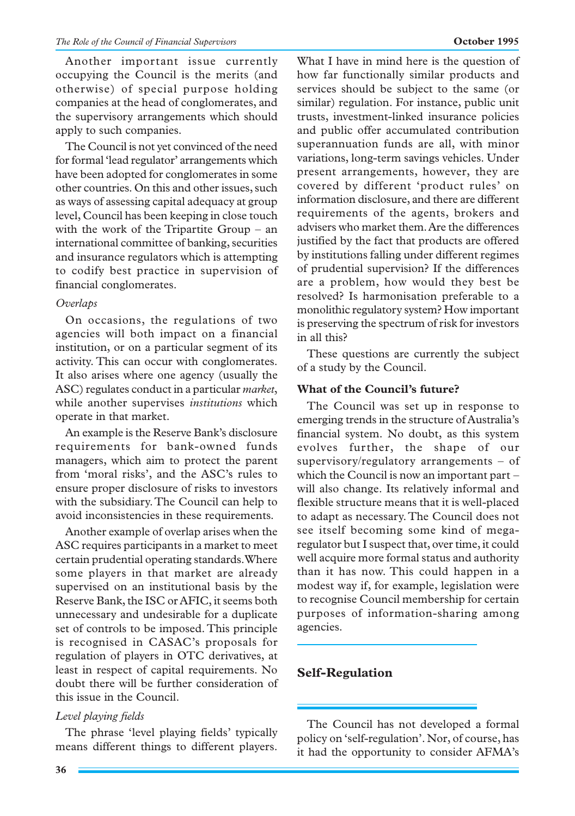Another important issue currently occupying the Council is the merits (and otherwise) of special purpose holding companies at the head of conglomerates, and the supervisory arrangements which should apply to such companies.

The Council is not yet convinced of the need for formal 'lead regulator' arrangements which have been adopted for conglomerates in some other countries. On this and other issues, such as ways of assessing capital adequacy at group level, Council has been keeping in close touch with the work of the Tripartite Group – an international committee of banking, securities and insurance regulators which is attempting to codify best practice in supervision of financial conglomerates.

## *Overlaps*

On occasions, the regulations of two agencies will both impact on a financial institution, or on a particular segment of its activity. This can occur with conglomerates. It also arises where one agency (usually the ASC) regulates conduct in a particular *market*, while another supervises *institutions* which operate in that market.

An example is the Reserve Bank's disclosure requirements for bank-owned funds managers, which aim to protect the parent from 'moral risks', and the ASC's rules to ensure proper disclosure of risks to investors with the subsidiary. The Council can help to avoid inconsistencies in these requirements.

Another example of overlap arises when the ASC requires participants in a market to meet certain prudential operating standards. Where some players in that market are already supervised on an institutional basis by the Reserve Bank, the ISC or AFIC, it seems both unnecessary and undesirable for a duplicate set of controls to be imposed. This principle is recognised in CASAC's proposals for regulation of players in OTC derivatives, at least in respect of capital requirements. No doubt there will be further consideration of this issue in the Council.

# *Level playing fields*

The phrase 'level playing fields' typically means different things to different players.

**36**

What I have in mind here is the question of how far functionally similar products and services should be subject to the same (or similar) regulation. For instance, public unit trusts, investment-linked insurance policies and public offer accumulated contribution superannuation funds are all, with minor variations, long-term savings vehicles. Under present arrangements, however, they are covered by different 'product rules' on information disclosure, and there are different requirements of the agents, brokers and advisers who market them. Are the differences justified by the fact that products are offered by institutions falling under different regimes of prudential supervision? If the differences are a problem, how would they best be resolved? Is harmonisation preferable to a monolithic regulatory system? How important is preserving the spectrum of risk for investors in all this?

These questions are currently the subject of a study by the Council.

# **What of the Council's future?**

The Council was set up in response to emerging trends in the structure of Australia's financial system. No doubt, as this system evolves further, the shape of our supervisory/regulatory arrangements – of which the Council is now an important part – will also change. Its relatively informal and flexible structure means that it is well-placed to adapt as necessary. The Council does not see itself becoming some kind of megaregulator but I suspect that, over time, it could well acquire more formal status and authority than it has now. This could happen in a modest way if, for example, legislation were to recognise Council membership for certain purposes of information-sharing among agencies.

# **Self-Regulation**

The Council has not developed a formal policy on 'self-regulation'. Nor, of course, has it had the opportunity to consider AFMA's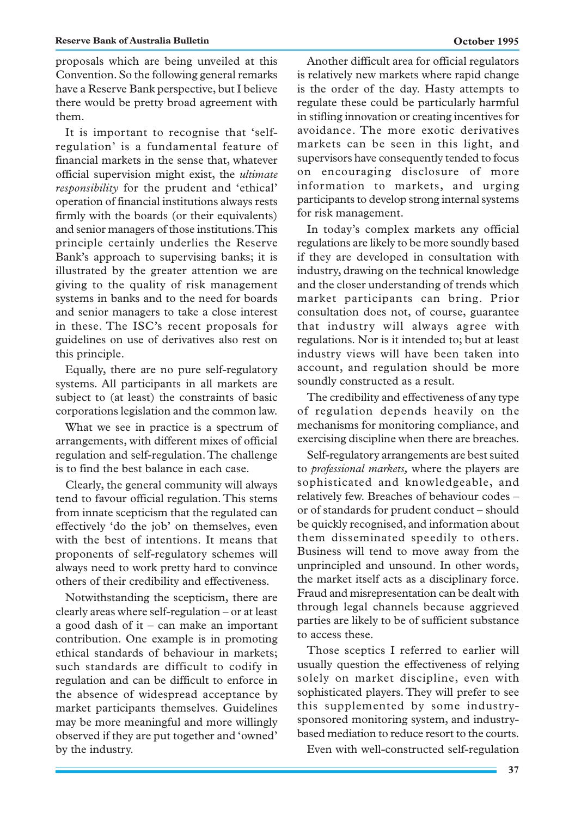proposals which are being unveiled at this Convention. So the following general remarks have a Reserve Bank perspective, but I believe there would be pretty broad agreement with them.

It is important to recognise that 'selfregulation' is a fundamental feature of financial markets in the sense that, whatever official supervision might exist, the *ultimate responsibility* for the prudent and 'ethical' operation of financial institutions always rests firmly with the boards (or their equivalents) and senior managers of those institutions. This principle certainly underlies the Reserve Bank's approach to supervising banks; it is illustrated by the greater attention we are giving to the quality of risk management systems in banks and to the need for boards and senior managers to take a close interest in these. The ISC's recent proposals for guidelines on use of derivatives also rest on this principle.

Equally, there are no pure self-regulatory systems. All participants in all markets are subject to (at least) the constraints of basic corporations legislation and the common law.

What we see in practice is a spectrum of arrangements, with different mixes of official regulation and self-regulation. The challenge is to find the best balance in each case.

Clearly, the general community will always tend to favour official regulation. This stems from innate scepticism that the regulated can effectively 'do the job' on themselves, even with the best of intentions. It means that proponents of self-regulatory schemes will always need to work pretty hard to convince others of their credibility and effectiveness.

Notwithstanding the scepticism, there are clearly areas where self-regulation – or at least a good dash of it – can make an important contribution. One example is in promoting ethical standards of behaviour in markets; such standards are difficult to codify in regulation and can be difficult to enforce in the absence of widespread acceptance by market participants themselves. Guidelines may be more meaningful and more willingly observed if they are put together and 'owned' by the industry.

Another difficult area for official regulators is relatively new markets where rapid change is the order of the day. Hasty attempts to regulate these could be particularly harmful in stifling innovation or creating incentives for avoidance. The more exotic derivatives markets can be seen in this light, and supervisors have consequently tended to focus on encouraging disclosure of more information to markets, and urging participants to develop strong internal systems for risk management.

In today's complex markets any official regulations are likely to be more soundly based if they are developed in consultation with industry, drawing on the technical knowledge and the closer understanding of trends which market participants can bring. Prior consultation does not, of course, guarantee that industry will always agree with regulations. Nor is it intended to; but at least industry views will have been taken into account, and regulation should be more soundly constructed as a result.

The credibility and effectiveness of any type of regulation depends heavily on the mechanisms for monitoring compliance, and exercising discipline when there are breaches.

Self-regulatory arrangements are best suited to *professional markets,* where the players are sophisticated and knowledgeable, and relatively few. Breaches of behaviour codes – or of standards for prudent conduct – should be quickly recognised, and information about them disseminated speedily to others. Business will tend to move away from the unprincipled and unsound. In other words, the market itself acts as a disciplinary force. Fraud and misrepresentation can be dealt with through legal channels because aggrieved parties are likely to be of sufficient substance to access these.

Those sceptics I referred to earlier will usually question the effectiveness of relying solely on market discipline, even with sophisticated players. They will prefer to see this supplemented by some industrysponsored monitoring system, and industrybased mediation to reduce resort to the courts.

Even with well-constructed self-regulation